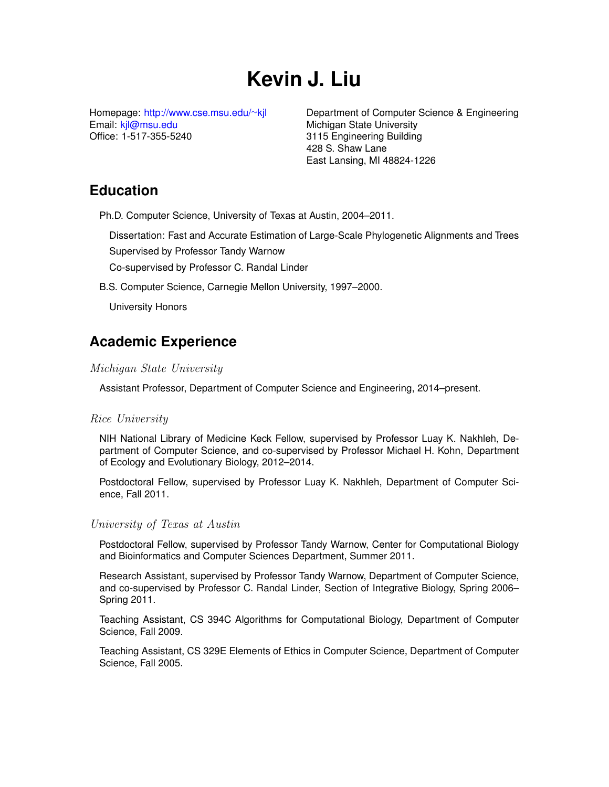# **Kevin J. Liu**

Homepage: [http://www.cse.msu.edu/](http://www.cse.msu.edu/~kjl)∼kjl Email: [kjl@msu.edu](mailto:kjl@msu.edu) Office: 1-517-355-5240

Department of Computer Science & Engineering Michigan State University 3115 Engineering Building 428 S. Shaw Lane East Lansing, MI 48824-1226

# **Education**

Ph.D. Computer Science, University of Texas at Austin, 2004–2011.

Dissertation: Fast and Accurate Estimation of Large-Scale Phylogenetic Alignments and Trees Supervised by Professor Tandy Warnow Co-supervised by Professor C. Randal Linder

B.S. Computer Science, Carnegie Mellon University, 1997–2000.

University Honors

# **Academic Experience**

### Michigan State University

Assistant Professor, Department of Computer Science and Engineering, 2014–present.

### Rice University

NIH National Library of Medicine Keck Fellow, supervised by Professor Luay K. Nakhleh, Department of Computer Science, and co-supervised by Professor Michael H. Kohn, Department of Ecology and Evolutionary Biology, 2012–2014.

Postdoctoral Fellow, supervised by Professor Luay K. Nakhleh, Department of Computer Science, Fall 2011.

### University of Texas at Austin

Postdoctoral Fellow, supervised by Professor Tandy Warnow, Center for Computational Biology and Bioinformatics and Computer Sciences Department, Summer 2011.

Research Assistant, supervised by Professor Tandy Warnow, Department of Computer Science, and co-supervised by Professor C. Randal Linder, Section of Integrative Biology, Spring 2006– Spring 2011.

Teaching Assistant, CS 394C Algorithms for Computational Biology, Department of Computer Science, Fall 2009.

Teaching Assistant, CS 329E Elements of Ethics in Computer Science, Department of Computer Science, Fall 2005.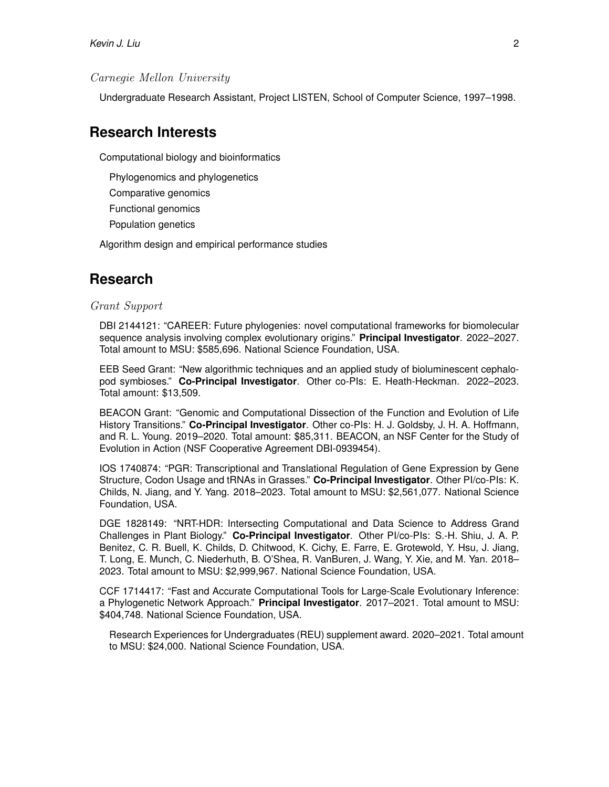#### Carnegie Mellon University

Undergraduate Research Assistant, Project LISTEN, School of Computer Science, 1997–1998.

# **Research Interests**

Computational biology and bioinformatics

Phylogenomics and phylogenetics

Comparative genomics

Functional genomics

Population genetics

Algorithm design and empirical performance studies

## **Research**

#### Grant Support

DBI 2144121: "CAREER: Future phylogenies: novel computational frameworks for biomolecular sequence analysis involving complex evolutionary origins." **Principal Investigator**. 2022–2027. Total amount to MSU: \$585,696. National Science Foundation, USA.

EEB Seed Grant: "New algorithmic techniques and an applied study of bioluminescent cephalopod symbioses." **Co-Principal Investigator**. Other co-PIs: E. Heath-Heckman. 2022–2023. Total amount: \$13,509.

BEACON Grant: "Genomic and Computational Dissection of the Function and Evolution of Life History Transitions." **Co-Principal Investigator**. Other co-PIs: H. J. Goldsby, J. H. A. Hoffmann, and R. L. Young. 2019–2020. Total amount: \$85,311. BEACON, an NSF Center for the Study of Evolution in Action (NSF Cooperative Agreement DBI-0939454).

IOS 1740874: "PGR: Transcriptional and Translational Regulation of Gene Expression by Gene Structure, Codon Usage and tRNAs in Grasses." **Co-Principal Investigator**. Other PI/co-PIs: K. Childs, N. Jiang, and Y. Yang. 2018–2023. Total amount to MSU: \$2,561,077. National Science Foundation, USA.

DGE 1828149: "NRT-HDR: Intersecting Computational and Data Science to Address Grand Challenges in Plant Biology." **Co-Principal Investigator**. Other PI/co-PIs: S.-H. Shiu, J. A. P. Benitez, C. R. Buell, K. Childs, D. Chitwood, K. Cichy, E. Farre, E. Grotewold, Y. Hsu, J. Jiang, T. Long, E. Munch, C. Niederhuth, B. O'Shea, R. VanBuren, J. Wang, Y. Xie, and M. Yan. 2018– 2023. Total amount to MSU: \$2,999,967. National Science Foundation, USA.

CCF 1714417: "Fast and Accurate Computational Tools for Large-Scale Evolutionary Inference: a Phylogenetic Network Approach." **Principal Investigator**. 2017–2021. Total amount to MSU: \$404,748. National Science Foundation, USA.

Research Experiences for Undergraduates (REU) supplement award. 2020–2021. Total amount to MSU: \$24,000. National Science Foundation, USA.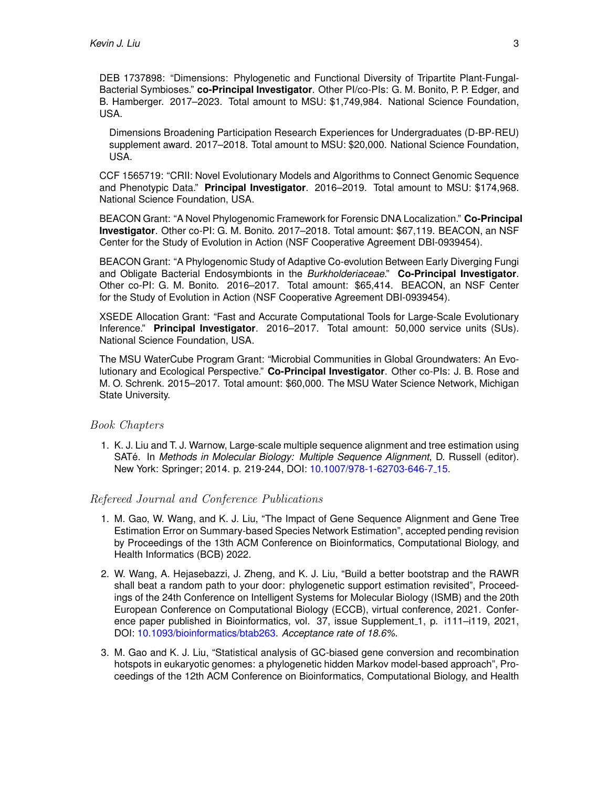DEB 1737898: "Dimensions: Phylogenetic and Functional Diversity of Tripartite Plant-Fungal-Bacterial Symbioses." **co-Principal Investigator**. Other PI/co-PIs: G. M. Bonito, P. P. Edger, and B. Hamberger. 2017–2023. Total amount to MSU: \$1,749,984. National Science Foundation, USA.

Dimensions Broadening Participation Research Experiences for Undergraduates (D-BP-REU) supplement award. 2017–2018. Total amount to MSU: \$20,000. National Science Foundation, USA.

CCF 1565719: "CRII: Novel Evolutionary Models and Algorithms to Connect Genomic Sequence and Phenotypic Data." **Principal Investigator**. 2016–2019. Total amount to MSU: \$174,968. National Science Foundation, USA.

BEACON Grant: "A Novel Phylogenomic Framework for Forensic DNA Localization." **Co-Principal Investigator**. Other co-PI: G. M. Bonito. 2017–2018. Total amount: \$67,119. BEACON, an NSF Center for the Study of Evolution in Action (NSF Cooperative Agreement DBI-0939454).

BEACON Grant: "A Phylogenomic Study of Adaptive Co-evolution Between Early Diverging Fungi and Obligate Bacterial Endosymbionts in the *Burkholderiaceae*." **Co-Principal Investigator**. Other co-PI: G. M. Bonito. 2016–2017. Total amount: \$65,414. BEACON, an NSF Center for the Study of Evolution in Action (NSF Cooperative Agreement DBI-0939454).

XSEDE Allocation Grant: "Fast and Accurate Computational Tools for Large-Scale Evolutionary Inference." **Principal Investigator**. 2016–2017. Total amount: 50,000 service units (SUs). National Science Foundation, USA.

The MSU WaterCube Program Grant: "Microbial Communities in Global Groundwaters: An Evolutionary and Ecological Perspective." **Co-Principal Investigator**. Other co-PIs: J. B. Rose and M. O. Schrenk. 2015–2017. Total amount: \$60,000. The MSU Water Science Network, Michigan State University.

#### Book Chapters

1. K. J. Liu and T. J. Warnow, Large-scale multiple sequence alignment and tree estimation using SATé. In Methods in Molecular Biology: Multiple Sequence Alignment, D. Russell (editor). New York: Springer; 2014. p. 219-244, DOI: [10.1007/978-1-62703-646-7](http://dx.doi.org/10.1007/978-1-62703-646-7_15) 15.

#### Refereed Journal and Conference Publications

- 1. M. Gao, W. Wang, and K. J. Liu, "The Impact of Gene Sequence Alignment and Gene Tree Estimation Error on Summary-based Species Network Estimation", accepted pending revision by Proceedings of the 13th ACM Conference on Bioinformatics, Computational Biology, and Health Informatics (BCB) 2022.
- 2. W. Wang, A. Hejasebazzi, J. Zheng, and K. J. Liu, "Build a better bootstrap and the RAWR shall beat a random path to your door: phylogenetic support estimation revisited", Proceedings of the 24th Conference on Intelligent Systems for Molecular Biology (ISMB) and the 20th European Conference on Computational Biology (ECCB), virtual conference, 2021. Conference paper published in Bioinformatics, vol. 37, issue Supplement<sub>-1</sub>, p. i111-i119, 2021, DOI: [10.1093/bioinformatics/btab263.](https://doi.org/10.1093/bioinformatics/btab263) *Acceptance rate of 18.6%.*
- 3. M. Gao and K. J. Liu, "Statistical analysis of GC-biased gene conversion and recombination hotspots in eukaryotic genomes: a phylogenetic hidden Markov model-based approach", Proceedings of the 12th ACM Conference on Bioinformatics, Computational Biology, and Health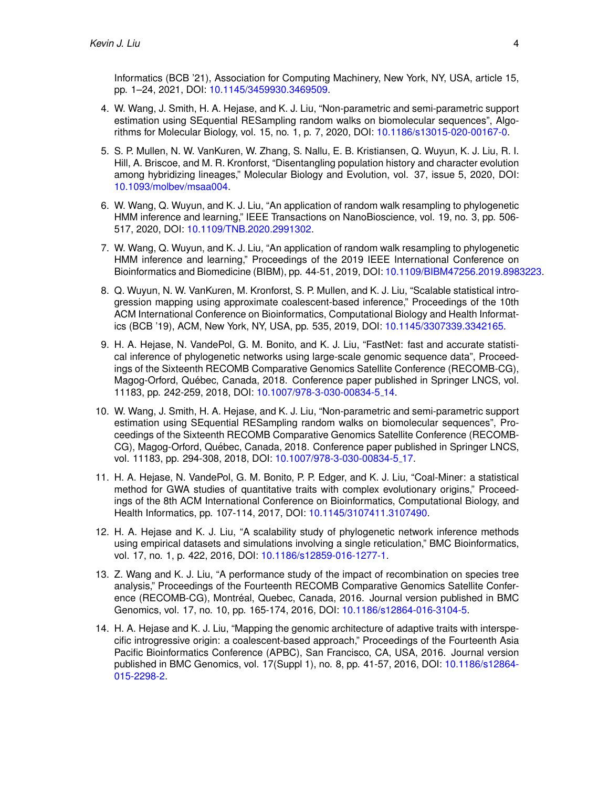Informatics (BCB '21), Association for Computing Machinery, New York, NY, USA, article 15, pp. 1–24, 2021, DOI: [10.1145/3459930.3469509.](https://doi.org/10.1145/3459930.3469509)

- 4. W. Wang, J. Smith, H. A. Hejase, and K. J. Liu, "Non-parametric and semi-parametric support estimation using SEquential RESampling random walks on biomolecular sequences", Algorithms for Molecular Biology, vol. 15, no. 1, p. 7, 2020, DOI: [10.1186/s13015-020-00167-0.](https://doi.org/10.1186/s13015-020-00167-0)
- 5. S. P. Mullen, N. W. VanKuren, W. Zhang, S. Nallu, E. B. Kristiansen, Q. Wuyun, K. J. Liu, R. I. Hill, A. Briscoe, and M. R. Kronforst, "Disentangling population history and character evolution among hybridizing lineages," Molecular Biology and Evolution, vol. 37, issue 5, 2020, DOI: [10.1093/molbev/msaa004.](https://doi.org/10.1093/molbev/msaa004)
- 6. W. Wang, Q. Wuyun, and K. J. Liu, "An application of random walk resampling to phylogenetic HMM inference and learning," IEEE Transactions on NanoBioscience, vol. 19, no. 3, pp. 506- 517, 2020, DOI: [10.1109/TNB.2020.2991302.](https://doi.org/10.1109/TNB.2020.2991302)
- 7. W. Wang, Q. Wuyun, and K. J. Liu, "An application of random walk resampling to phylogenetic HMM inference and learning," Proceedings of the 2019 IEEE International Conference on Bioinformatics and Biomedicine (BIBM), pp. 44-51, 2019, DOI: [10.1109/BIBM47256.2019.8983223.](https://doi.org/10.1109/BIBM47256.2019.8983223)
- 8. Q. Wuyun, N. W. VanKuren, M. Kronforst, S. P. Mullen, and K. J. Liu, "Scalable statistical introgression mapping using approximate coalescent-based inference," Proceedings of the 10th ACM International Conference on Bioinformatics, Computational Biology and Health Informatics (BCB '19), ACM, New York, NY, USA, pp. 535, 2019, DOI: [10.1145/3307339.3342165.](https://doi.org/10.1145/3307339.3342165)
- 9. H. A. Hejase, N. VandePol, G. M. Bonito, and K. J. Liu, "FastNet: fast and accurate statistical inference of phylogenetic networks using large-scale genomic sequence data", Proceedings of the Sixteenth RECOMB Comparative Genomics Satellite Conference (RECOMB-CG), Magog-Orford, Quebec, Canada, 2018. Conference paper published in Springer LNCS, vol. ´ 11183, pp. 242-259, 2018, DOI: [10.1007/978-3-030-00834-5](https://doi.org/10.1007/978-3-030-00834-5_14) 14.
- 10. W. Wang, J. Smith, H. A. Hejase, and K. J. Liu, "Non-parametric and semi-parametric support estimation using SEquential RESampling random walks on biomolecular sequences", Proceedings of the Sixteenth RECOMB Comparative Genomics Satellite Conference (RECOMB-CG), Magog-Orford, Quebec, Canada, 2018. Conference paper published in Springer LNCS, ´ vol. 11183, pp. 294-308, 2018, DOI: [10.1007/978-3-030-00834-5](https://doi.org/10.1007/978-3-030-00834-5_17) 17.
- 11. H. A. Hejase, N. VandePol, G. M. Bonito, P. P. Edger, and K. J. Liu, "Coal-Miner: a statistical method for GWA studies of quantitative traits with complex evolutionary origins," Proceedings of the 8th ACM International Conference on Bioinformatics, Computational Biology, and Health Informatics, pp. 107-114, 2017, DOI: [10.1145/3107411.3107490.](http://dx.doi.org/10.1145/3107411.3107490)
- 12. H. A. Hejase and K. J. Liu, "A scalability study of phylogenetic network inference methods using empirical datasets and simulations involving a single reticulation," BMC Bioinformatics, vol. 17, no. 1, p. 422, 2016, DOI: [10.1186/s12859-016-1277-1.](http://dx.doi.org/10.1186/s12859-016-1277-1)
- 13. Z. Wang and K. J. Liu, "A performance study of the impact of recombination on species tree analysis," Proceedings of the Fourteenth RECOMB Comparative Genomics Satellite Conference (RECOMB-CG), Montréal, Quebec, Canada, 2016. Journal version published in BMC Genomics, vol. 17, no. 10, pp. 165-174, 2016, DOI: [10.1186/s12864-016-3104-5.](http://dx.doi.org/10.1186/s12864-016-3104-5)
- 14. H. A. Hejase and K. J. Liu, "Mapping the genomic architecture of adaptive traits with interspecific introgressive origin: a coalescent-based approach," Proceedings of the Fourteenth Asia Pacific Bioinformatics Conference (APBC), San Francisco, CA, USA, 2016. Journal version published in BMC Genomics, vol. 17(Suppl 1), no. 8, pp. 41-57, 2016, DOI: [10.1186/s12864-](http://dx.doi.org/10.1186/s12864-015-2298-2) [015-2298-2.](http://dx.doi.org/10.1186/s12864-015-2298-2)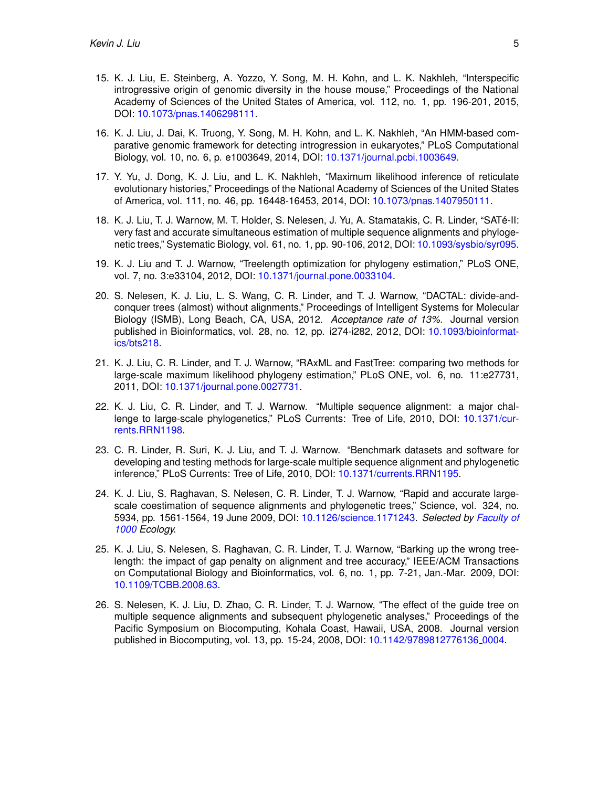- 15. K. J. Liu, E. Steinberg, A. Yozzo, Y. Song, M. H. Kohn, and L. K. Nakhleh, "Interspecific introgressive origin of genomic diversity in the house mouse," Proceedings of the National Academy of Sciences of the United States of America, vol. 112, no. 1, pp. 196-201, 2015, DOI: [10.1073/pnas.1406298111.](http://dx.doi.org/10.1073/pnas.1406298111)
- 16. K. J. Liu, J. Dai, K. Truong, Y. Song, M. H. Kohn, and L. K. Nakhleh, "An HMM-based comparative genomic framework for detecting introgression in eukaryotes," PLoS Computational Biology, vol. 10, no. 6, p. e1003649, 2014, DOI: [10.1371/journal.pcbi.1003649.](http://dx.doi.org/10.1371/journal.pcbi.1003649)
- 17. Y. Yu, J. Dong, K. J. Liu, and L. K. Nakhleh, "Maximum likelihood inference of reticulate evolutionary histories," Proceedings of the National Academy of Sciences of the United States of America, vol. 111, no. 46, pp. 16448-16453, 2014, DOI: [10.1073/pnas.1407950111.](http://dx.doi.org/10.1073/pnas.1407950111)
- 18. K. J. Liu, T. J. Warnow, M. T. Holder, S. Nelesen, J. Yu, A. Stamatakis, C. R. Linder, "SATe-II: ´ very fast and accurate simultaneous estimation of multiple sequence alignments and phylogenetic trees," Systematic Biology, vol. 61, no. 1, pp. 90-106, 2012, DOI: [10.1093/sysbio/syr095.](http://dx.doi.org/10.1093/sysbio/syr095)
- 19. K. J. Liu and T. J. Warnow, "Treelength optimization for phylogeny estimation," PLoS ONE, vol. 7, no. 3:e33104, 2012, DOI: [10.1371/journal.pone.0033104.](http://dx.doi.org/10.1371/journal.pone.0033104)
- 20. S. Nelesen, K. J. Liu, L. S. Wang, C. R. Linder, and T. J. Warnow, "DACTAL: divide-andconquer trees (almost) without alignments," Proceedings of Intelligent Systems for Molecular Biology (ISMB), Long Beach, CA, USA, 2012. *Acceptance rate of 13%.* Journal version published in Bioinformatics, vol. 28, no. 12, pp. i274-i282, 2012, DOI: [10.1093/bioinformat](http://dx.doi.org/10.1093/bioinformatics/bts218)[ics/bts218.](http://dx.doi.org/10.1093/bioinformatics/bts218)
- 21. K. J. Liu, C. R. Linder, and T. J. Warnow, "RAxML and FastTree: comparing two methods for large-scale maximum likelihood phylogeny estimation," PLoS ONE, vol. 6, no. 11:e27731, 2011, DOI: [10.1371/journal.pone.0027731.](http://dx.doi.org/10.1371/journal.pone.0027731)
- 22. K. J. Liu, C. R. Linder, and T. J. Warnow. "Multiple sequence alignment: a major challenge to large-scale phylogenetics," PLoS Currents: Tree of Life, 2010, DOI: [10.1371/cur](http://dx.doi.org/10.1371/currents.RRN1198)[rents.RRN1198.](http://dx.doi.org/10.1371/currents.RRN1198)
- 23. C. R. Linder, R. Suri, K. J. Liu, and T. J. Warnow. "Benchmark datasets and software for developing and testing methods for large-scale multiple sequence alignment and phylogenetic inference," PLoS Currents: Tree of Life, 2010, DOI: [10.1371/currents.RRN1195.](http://dx.doi.org/10.1371/currents.RRN1195)
- 24. K. J. Liu, S. Raghavan, S. Nelesen, C. R. Linder, T. J. Warnow, "Rapid and accurate largescale coestimation of sequence alignments and phylogenetic trees," Science, vol. 324, no. 5934, pp. 1561-1564, 19 June 2009, DOI: [10.1126/science.1171243.](http://dx.doi.org/10.1126/science.1171243) *Selected by [Faculty of](http://www.f1000biology.com/article/id/1163036) [1000](http://www.f1000biology.com/article/id/1163036) Ecology.*
- 25. K. J. Liu, S. Nelesen, S. Raghavan, C. R. Linder, T. J. Warnow, "Barking up the wrong treelength: the impact of gap penalty on alignment and tree accuracy," IEEE/ACM Transactions on Computational Biology and Bioinformatics, vol. 6, no. 1, pp. 7-21, Jan.-Mar. 2009, DOI: [10.1109/TCBB.2008.63.](http://dx.doi.org/10.1109/TCBB.2008.63)
- 26. S. Nelesen, K. J. Liu, D. Zhao, C. R. Linder, T. J. Warnow, "The effect of the guide tree on multiple sequence alignments and subsequent phylogenetic analyses," Proceedings of the Pacific Symposium on Biocomputing, Kohala Coast, Hawaii, USA, 2008. Journal version published in Biocomputing, vol. 13, pp. 15-24, 2008, DOI: [10.1142/9789812776136](http://dx.doi.org/10.1142/9789812776136_0004) 0004.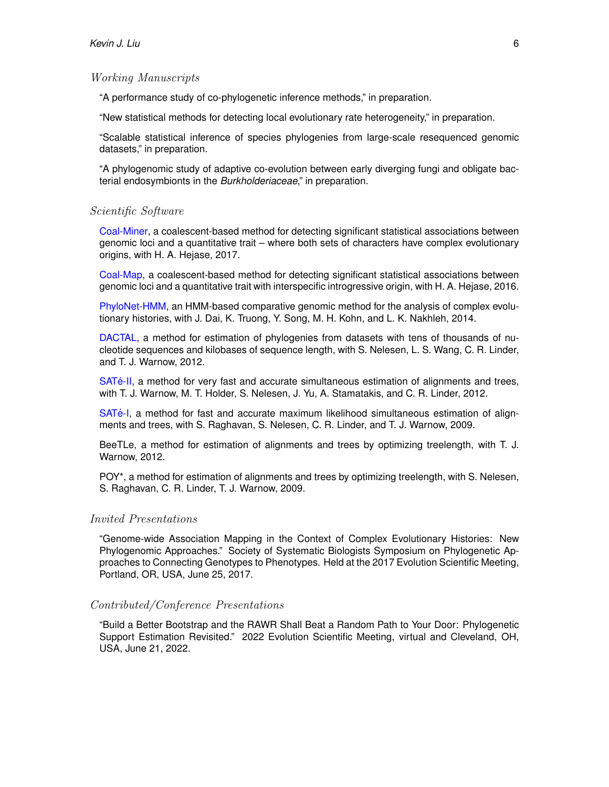#### Working Manuscripts

"A performance study of co-phylogenetic inference methods," in preparation.

"New statistical methods for detecting local evolutionary rate heterogeneity," in preparation.

"Scalable statistical inference of species phylogenies from large-scale resequenced genomic datasets," in preparation.

"A phylogenomic study of adaptive co-evolution between early diverging fungi and obligate bacterial endosymbionts in the *Burkholderiaceae*," in preparation.

#### Scientific Software

[Coal-Miner,](https://gitlab.msu.edu/liulab/CoalMiner.data.scripts) a coalescent-based method for detecting significant statistical associations between genomic loci and a quantitative trait – where both sets of characters have complex evolutionary origins, with H. A. Hejase, 2017.

[Coal-Map,](https://gitlab.msu.edu/liulab/coal-map) a coalescent-based method for detecting significant statistical associations between genomic loci and a quantitative trait with interspecific introgressive origin, with H. A. Hejase, 2016.

[PhyloNet-HMM,](http://bioinfo.cs.rice.edu/software/phmm) an HMM-based comparative genomic method for the analysis of complex evolutionary histories, with J. Dai, K. Truong, Y. Song, M. H. Kohn, and L. K. Nakhleh, 2014.

[DACTAL,](http://www.cs.utexas.edu/~phylo/software/dactal/) a method for estimation of phylogenies from datasets with tens of thousands of nucleotide sequences and kilobases of sequence length, with S. Nelesen, L. S. Wang, C. R. Linder, and T. J. Warnow, 2012.

SATé-II, a method for very fast and accurate simultaneous estimation of alignments and trees, with T. J. Warnow, M. T. Holder, S. Nelesen, J. Yu, A. Stamatakis, and C. R. Linder, 2012.

SAT<sub>e-I</sub>, a method for fast and accurate maximum likelihood simultaneous estimation of alignments and trees, with S. Raghavan, S. Nelesen, C. R. Linder, and T. J. Warnow, 2009.

BeeTLe, a method for estimation of alignments and trees by optimizing treelength, with T. J. Warnow, 2012.

POY\*, a method for estimation of alignments and trees by optimizing treelength, with S. Nelesen, S. Raghavan, C. R. Linder, T. J. Warnow, 2009.

#### Invited Presentations

"Genome-wide Association Mapping in the Context of Complex Evolutionary Histories: New Phylogenomic Approaches." Society of Systematic Biologists Symposium on Phylogenetic Approaches to Connecting Genotypes to Phenotypes. Held at the 2017 Evolution Scientific Meeting, Portland, OR, USA, June 25, 2017.

#### Contributed/Conference Presentations

"Build a Better Bootstrap and the RAWR Shall Beat a Random Path to Your Door: Phylogenetic Support Estimation Revisited." 2022 Evolution Scientific Meeting, virtual and Cleveland, OH, USA, June 21, 2022.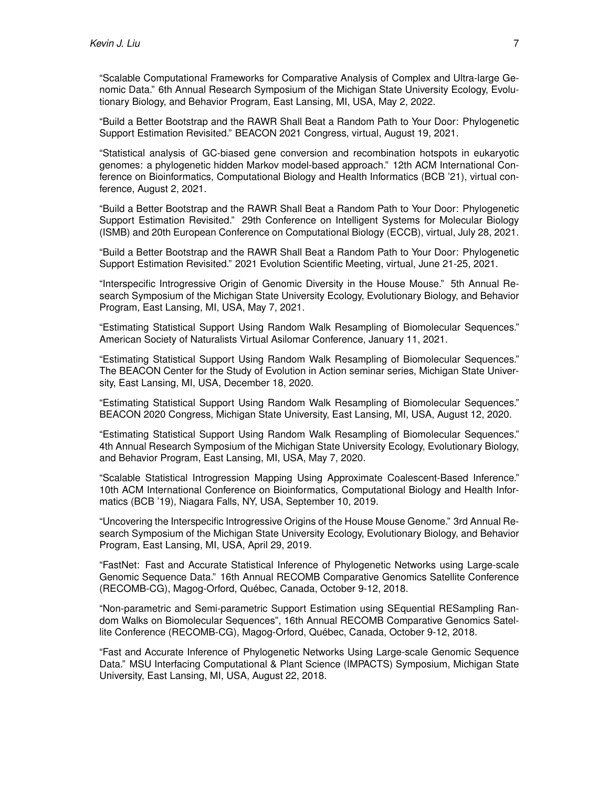"Scalable Computational Frameworks for Comparative Analysis of Complex and Ultra-large Genomic Data." 6th Annual Research Symposium of the Michigan State University Ecology, Evolutionary Biology, and Behavior Program, East Lansing, MI, USA, May 2, 2022.

"Build a Better Bootstrap and the RAWR Shall Beat a Random Path to Your Door: Phylogenetic Support Estimation Revisited." BEACON 2021 Congress, virtual, August 19, 2021.

"Statistical analysis of GC-biased gene conversion and recombination hotspots in eukaryotic genomes: a phylogenetic hidden Markov model-based approach." 12th ACM International Conference on Bioinformatics, Computational Biology and Health Informatics (BCB '21), virtual conference, August 2, 2021.

"Build a Better Bootstrap and the RAWR Shall Beat a Random Path to Your Door: Phylogenetic Support Estimation Revisited." 29th Conference on Intelligent Systems for Molecular Biology (ISMB) and 20th European Conference on Computational Biology (ECCB), virtual, July 28, 2021.

"Build a Better Bootstrap and the RAWR Shall Beat a Random Path to Your Door: Phylogenetic Support Estimation Revisited." 2021 Evolution Scientific Meeting, virtual, June 21-25, 2021.

"Interspecific Introgressive Origin of Genomic Diversity in the House Mouse." 5th Annual Research Symposium of the Michigan State University Ecology, Evolutionary Biology, and Behavior Program, East Lansing, MI, USA, May 7, 2021.

"Estimating Statistical Support Using Random Walk Resampling of Biomolecular Sequences." American Society of Naturalists Virtual Asilomar Conference, January 11, 2021.

"Estimating Statistical Support Using Random Walk Resampling of Biomolecular Sequences." The BEACON Center for the Study of Evolution in Action seminar series, Michigan State University, East Lansing, MI, USA, December 18, 2020.

"Estimating Statistical Support Using Random Walk Resampling of Biomolecular Sequences." BEACON 2020 Congress, Michigan State University, East Lansing, MI, USA, August 12, 2020.

"Estimating Statistical Support Using Random Walk Resampling of Biomolecular Sequences." 4th Annual Research Symposium of the Michigan State University Ecology, Evolutionary Biology, and Behavior Program, East Lansing, MI, USA, May 7, 2020.

"Scalable Statistical Introgression Mapping Using Approximate Coalescent-Based Inference." 10th ACM International Conference on Bioinformatics, Computational Biology and Health Informatics (BCB '19), Niagara Falls, NY, USA, September 10, 2019.

"Uncovering the Interspecific Introgressive Origins of the House Mouse Genome." 3rd Annual Research Symposium of the Michigan State University Ecology, Evolutionary Biology, and Behavior Program, East Lansing, MI, USA, April 29, 2019.

"FastNet: Fast and Accurate Statistical Inference of Phylogenetic Networks using Large-scale Genomic Sequence Data." 16th Annual RECOMB Comparative Genomics Satellite Conference (RECOMB-CG), Magog-Orford, Quebec, Canada, October 9-12, 2018. ´

"Non-parametric and Semi-parametric Support Estimation using SEquential RESampling Random Walks on Biomolecular Sequences", 16th Annual RECOMB Comparative Genomics Satellite Conference (RECOMB-CG), Magog-Orford, Quebec, Canada, October 9-12, 2018. ´

"Fast and Accurate Inference of Phylogenetic Networks Using Large-scale Genomic Sequence Data." MSU Interfacing Computational & Plant Science (IMPACTS) Symposium, Michigan State University, East Lansing, MI, USA, August 22, 2018.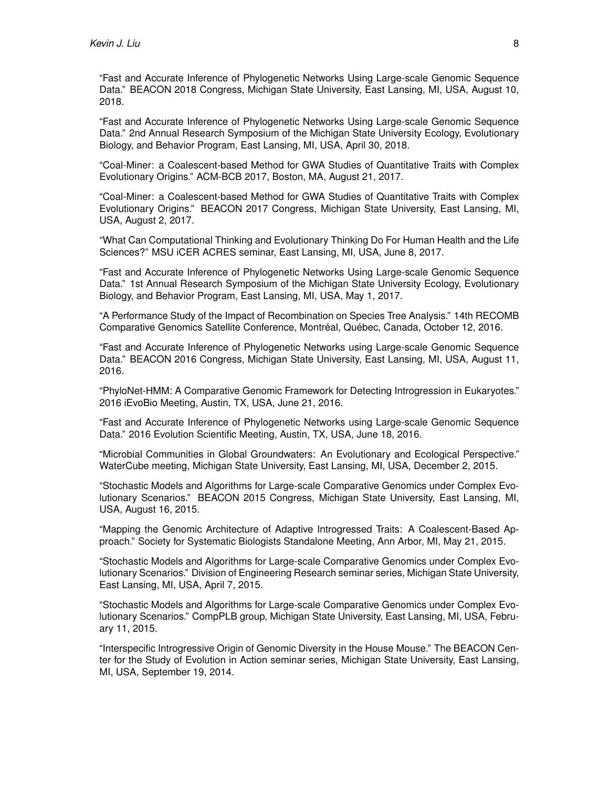"Fast and Accurate Inference of Phylogenetic Networks Using Large-scale Genomic Sequence Data." BEACON 2018 Congress, Michigan State University, East Lansing, MI, USA, August 10, 2018.

"Fast and Accurate Inference of Phylogenetic Networks Using Large-scale Genomic Sequence Data." 2nd Annual Research Symposium of the Michigan State University Ecology, Evolutionary Biology, and Behavior Program, East Lansing, MI, USA, April 30, 2018.

"Coal-Miner: a Coalescent-based Method for GWA Studies of Quantitative Traits with Complex Evolutionary Origins." ACM-BCB 2017, Boston, MA, August 21, 2017.

"Coal-Miner: a Coalescent-based Method for GWA Studies of Quantitative Traits with Complex Evolutionary Origins." BEACON 2017 Congress, Michigan State University, East Lansing, MI, USA, August 2, 2017.

"What Can Computational Thinking and Evolutionary Thinking Do For Human Health and the Life Sciences?" MSU iCER ACRES seminar, East Lansing, MI, USA, June 8, 2017.

"Fast and Accurate Inference of Phylogenetic Networks Using Large-scale Genomic Sequence Data." 1st Annual Research Symposium of the Michigan State University Ecology, Evolutionary Biology, and Behavior Program, East Lansing, MI, USA, May 1, 2017.

"A Performance Study of the Impact of Recombination on Species Tree Analysis." 14th RECOMB Comparative Genomics Satellite Conference, Montréal, Québec, Canada, October 12, 2016.

"Fast and Accurate Inference of Phylogenetic Networks using Large-scale Genomic Sequence Data." BEACON 2016 Congress, Michigan State University, East Lansing, MI, USA, August 11, 2016.

"PhyloNet-HMM: A Comparative Genomic Framework for Detecting Introgression in Eukaryotes." 2016 iEvoBio Meeting, Austin, TX, USA, June 21, 2016.

"Fast and Accurate Inference of Phylogenetic Networks using Large-scale Genomic Sequence Data." 2016 Evolution Scientific Meeting, Austin, TX, USA, June 18, 2016.

"Microbial Communities in Global Groundwaters: An Evolutionary and Ecological Perspective." WaterCube meeting, Michigan State University, East Lansing, MI, USA, December 2, 2015.

"Stochastic Models and Algorithms for Large-scale Comparative Genomics under Complex Evolutionary Scenarios." BEACON 2015 Congress, Michigan State University, East Lansing, MI, USA, August 16, 2015.

"Mapping the Genomic Architecture of Adaptive Introgressed Traits: A Coalescent-Based Approach." Society for Systematic Biologists Standalone Meeting, Ann Arbor, MI, May 21, 2015.

"Stochastic Models and Algorithms for Large-scale Comparative Genomics under Complex Evolutionary Scenarios." Division of Engineering Research seminar series, Michigan State University, East Lansing, MI, USA, April 7, 2015.

"Stochastic Models and Algorithms for Large-scale Comparative Genomics under Complex Evolutionary Scenarios." CompPLB group, Michigan State University, East Lansing, MI, USA, February 11, 2015.

"Interspecific Introgressive Origin of Genomic Diversity in the House Mouse." The BEACON Center for the Study of Evolution in Action seminar series, Michigan State University, East Lansing, MI, USA, September 19, 2014.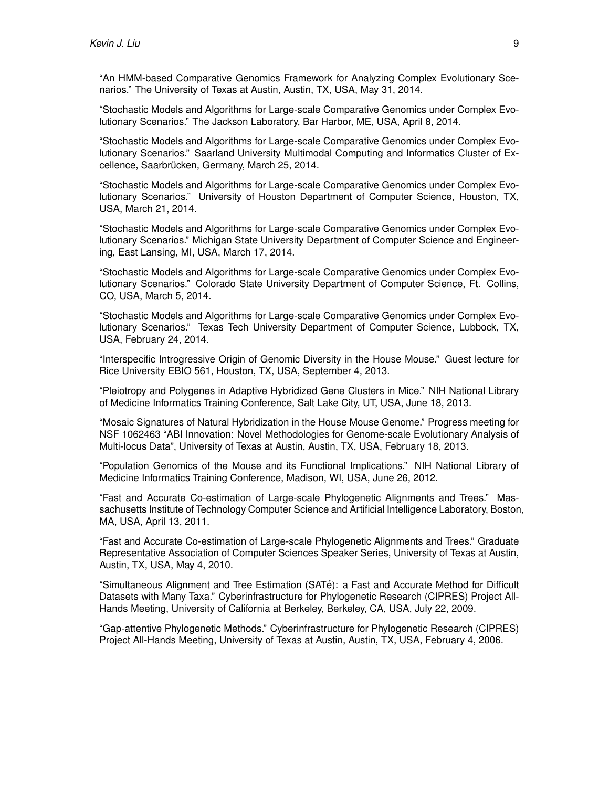"An HMM-based Comparative Genomics Framework for Analyzing Complex Evolutionary Scenarios." The University of Texas at Austin, Austin, TX, USA, May 31, 2014.

"Stochastic Models and Algorithms for Large-scale Comparative Genomics under Complex Evolutionary Scenarios." The Jackson Laboratory, Bar Harbor, ME, USA, April 8, 2014.

"Stochastic Models and Algorithms for Large-scale Comparative Genomics under Complex Evolutionary Scenarios." Saarland University Multimodal Computing and Informatics Cluster of Excellence, Saarbrücken, Germany, March 25, 2014.

"Stochastic Models and Algorithms for Large-scale Comparative Genomics under Complex Evolutionary Scenarios." University of Houston Department of Computer Science, Houston, TX, USA, March 21, 2014.

"Stochastic Models and Algorithms for Large-scale Comparative Genomics under Complex Evolutionary Scenarios." Michigan State University Department of Computer Science and Engineering, East Lansing, MI, USA, March 17, 2014.

"Stochastic Models and Algorithms for Large-scale Comparative Genomics under Complex Evolutionary Scenarios." Colorado State University Department of Computer Science, Ft. Collins, CO, USA, March 5, 2014.

"Stochastic Models and Algorithms for Large-scale Comparative Genomics under Complex Evolutionary Scenarios." Texas Tech University Department of Computer Science, Lubbock, TX, USA, February 24, 2014.

"Interspecific Introgressive Origin of Genomic Diversity in the House Mouse." Guest lecture for Rice University EBIO 561, Houston, TX, USA, September 4, 2013.

"Pleiotropy and Polygenes in Adaptive Hybridized Gene Clusters in Mice." NIH National Library of Medicine Informatics Training Conference, Salt Lake City, UT, USA, June 18, 2013.

"Mosaic Signatures of Natural Hybridization in the House Mouse Genome." Progress meeting for NSF 1062463 "ABI Innovation: Novel Methodologies for Genome-scale Evolutionary Analysis of Multi-locus Data", University of Texas at Austin, Austin, TX, USA, February 18, 2013.

"Population Genomics of the Mouse and its Functional Implications." NIH National Library of Medicine Informatics Training Conference, Madison, WI, USA, June 26, 2012.

"Fast and Accurate Co-estimation of Large-scale Phylogenetic Alignments and Trees." Massachusetts Institute of Technology Computer Science and Artificial Intelligence Laboratory, Boston, MA, USA, April 13, 2011.

"Fast and Accurate Co-estimation of Large-scale Phylogenetic Alignments and Trees." Graduate Representative Association of Computer Sciences Speaker Series, University of Texas at Austin, Austin, TX, USA, May 4, 2010.

"Simultaneous Alignment and Tree Estimation (SATe): a Fast and Accurate Method for Difficult ´ Datasets with Many Taxa." Cyberinfrastructure for Phylogenetic Research (CIPRES) Project All-Hands Meeting, University of California at Berkeley, Berkeley, CA, USA, July 22, 2009.

"Gap-attentive Phylogenetic Methods." Cyberinfrastructure for Phylogenetic Research (CIPRES) Project All-Hands Meeting, University of Texas at Austin, Austin, TX, USA, February 4, 2006.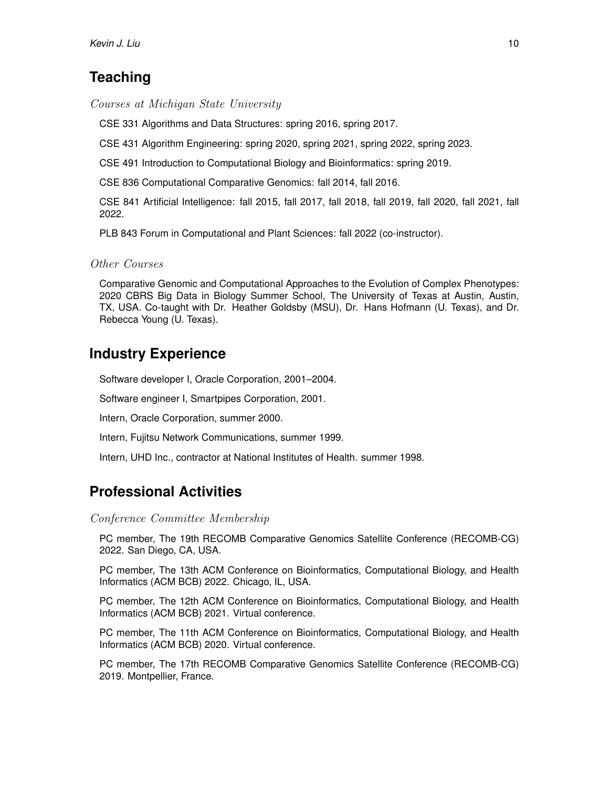# **Teaching**

Courses at Michigan State University

CSE 331 Algorithms and Data Structures: spring 2016, spring 2017.

CSE 431 Algorithm Engineering: spring 2020, spring 2021, spring 2022, spring 2023.

CSE 491 Introduction to Computational Biology and Bioinformatics: spring 2019.

CSE 836 Computational Comparative Genomics: fall 2014, fall 2016.

CSE 841 Artificial Intelligence: fall 2015, fall 2017, fall 2018, fall 2019, fall 2020, fall 2021, fall 2022.

PLB 843 Forum in Computational and Plant Sciences: fall 2022 (co-instructor).

Other Courses

Comparative Genomic and Computational Approaches to the Evolution of Complex Phenotypes: 2020 CBRS Big Data in Biology Summer School, The University of Texas at Austin, Austin, TX, USA. Co-taught with Dr. Heather Goldsby (MSU), Dr. Hans Hofmann (U. Texas), and Dr. Rebecca Young (U. Texas).

# **Industry Experience**

Software developer I, Oracle Corporation, 2001–2004.

Software engineer I, Smartpipes Corporation, 2001.

Intern, Oracle Corporation, summer 2000.

Intern, Fujitsu Network Communications, summer 1999.

Intern, UHD Inc., contractor at National Institutes of Health. summer 1998.

# **Professional Activities**

Conference Committee Membership

PC member, The 19th RECOMB Comparative Genomics Satellite Conference (RECOMB-CG) 2022. San Diego, CA, USA.

PC member, The 13th ACM Conference on Bioinformatics, Computational Biology, and Health Informatics (ACM BCB) 2022. Chicago, IL, USA.

PC member, The 12th ACM Conference on Bioinformatics, Computational Biology, and Health Informatics (ACM BCB) 2021. Virtual conference.

PC member, The 11th ACM Conference on Bioinformatics, Computational Biology, and Health Informatics (ACM BCB) 2020. Virtual conference.

PC member, The 17th RECOMB Comparative Genomics Satellite Conference (RECOMB-CG) 2019. Montpellier, France.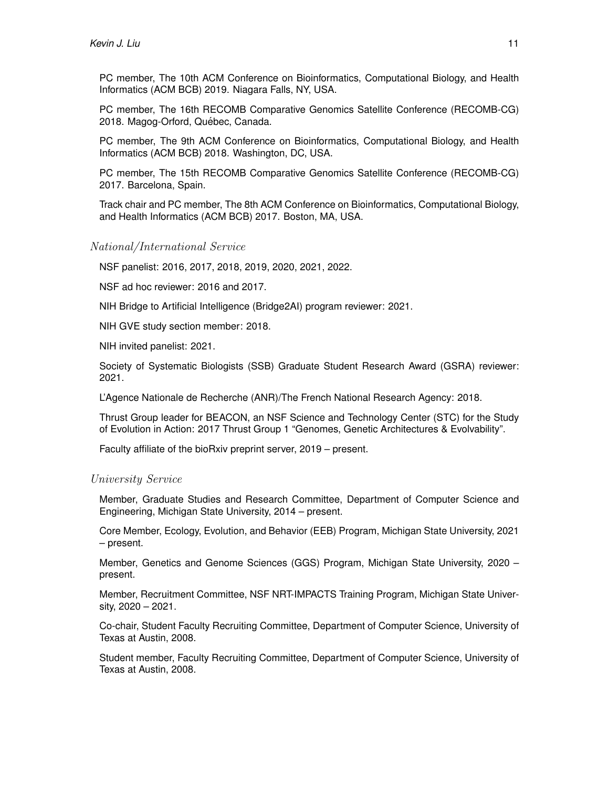PC member, The 10th ACM Conference on Bioinformatics, Computational Biology, and Health Informatics (ACM BCB) 2019. Niagara Falls, NY, USA.

PC member, The 16th RECOMB Comparative Genomics Satellite Conference (RECOMB-CG) 2018. Magog-Orford, Québec, Canada.

PC member, The 9th ACM Conference on Bioinformatics, Computational Biology, and Health Informatics (ACM BCB) 2018. Washington, DC, USA.

PC member, The 15th RECOMB Comparative Genomics Satellite Conference (RECOMB-CG) 2017. Barcelona, Spain.

Track chair and PC member, The 8th ACM Conference on Bioinformatics, Computational Biology, and Health Informatics (ACM BCB) 2017. Boston, MA, USA.

### National/International Service

NSF panelist: 2016, 2017, 2018, 2019, 2020, 2021, 2022.

NSF ad hoc reviewer: 2016 and 2017.

NIH Bridge to Artificial Intelligence (Bridge2AI) program reviewer: 2021.

NIH GVE study section member: 2018.

NIH invited panelist: 2021.

Society of Systematic Biologists (SSB) Graduate Student Research Award (GSRA) reviewer: 2021.

L'Agence Nationale de Recherche (ANR)/The French National Research Agency: 2018.

Thrust Group leader for BEACON, an NSF Science and Technology Center (STC) for the Study of Evolution in Action: 2017 Thrust Group 1 "Genomes, Genetic Architectures & Evolvability".

Faculty affiliate of the bioRxiv preprint server, 2019 – present.

#### University Service

Member, Graduate Studies and Research Committee, Department of Computer Science and Engineering, Michigan State University, 2014 – present.

Core Member, Ecology, Evolution, and Behavior (EEB) Program, Michigan State University, 2021 – present.

Member, Genetics and Genome Sciences (GGS) Program, Michigan State University, 2020 – present.

Member, Recruitment Committee, NSF NRT-IMPACTS Training Program, Michigan State University, 2020 – 2021.

Co-chair, Student Faculty Recruiting Committee, Department of Computer Science, University of Texas at Austin, 2008.

Student member, Faculty Recruiting Committee, Department of Computer Science, University of Texas at Austin, 2008.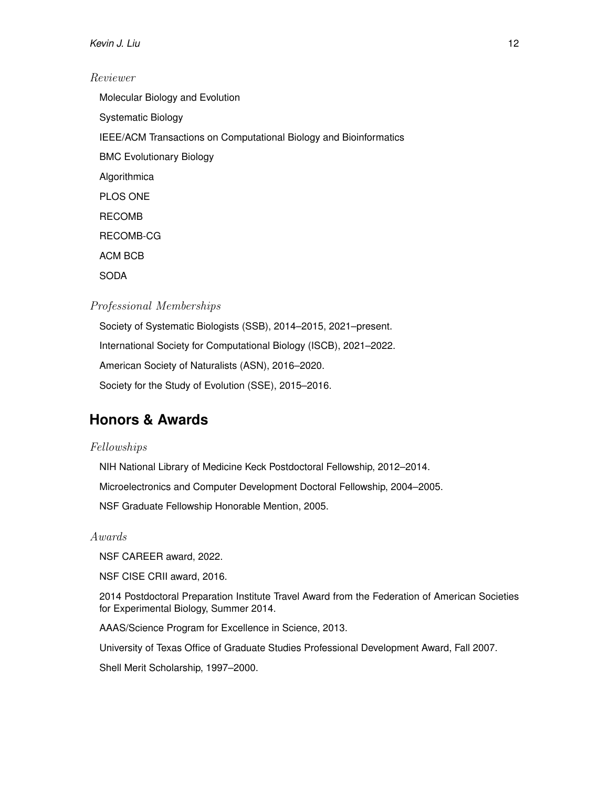### *Kevin J. Liu* 12

#### Reviewer

Molecular Biology and Evolution Systematic Biology IEEE/ACM Transactions on Computational Biology and Bioinformatics BMC Evolutionary Biology Algorithmica PLOS ONE RECOMB RECOMB-CG ACM BCB SODA

### Professional Memberships

Society of Systematic Biologists (SSB), 2014–2015, 2021–present. International Society for Computational Biology (ISCB), 2021–2022. American Society of Naturalists (ASN), 2016–2020. Society for the Study of Evolution (SSE), 2015–2016.

# **Honors & Awards**

### Fellowships

NIH National Library of Medicine Keck Postdoctoral Fellowship, 2012–2014.

Microelectronics and Computer Development Doctoral Fellowship, 2004–2005.

NSF Graduate Fellowship Honorable Mention, 2005.

#### Awards

NSF CAREER award, 2022.

NSF CISE CRII award, 2016.

2014 Postdoctoral Preparation Institute Travel Award from the Federation of American Societies for Experimental Biology, Summer 2014.

AAAS/Science Program for Excellence in Science, 2013.

University of Texas Office of Graduate Studies Professional Development Award, Fall 2007.

Shell Merit Scholarship, 1997–2000.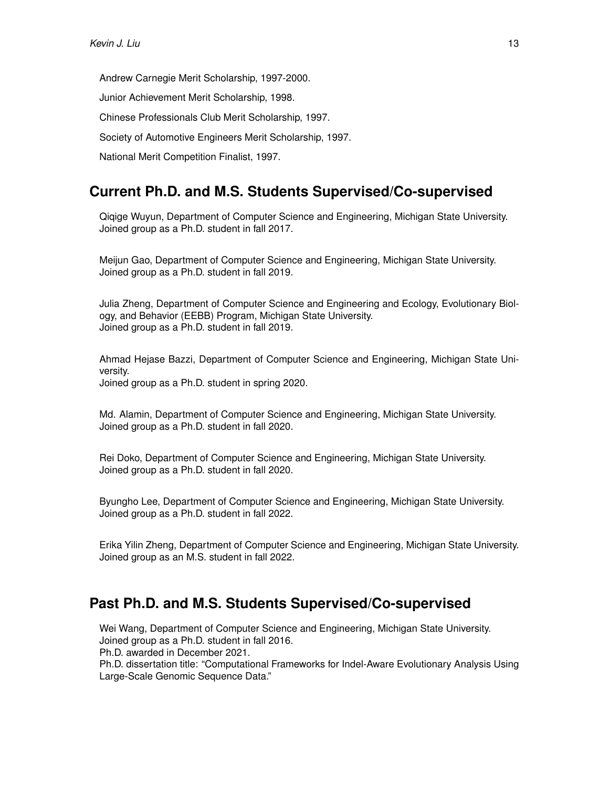Andrew Carnegie Merit Scholarship, 1997-2000.

Junior Achievement Merit Scholarship, 1998.

Chinese Professionals Club Merit Scholarship, 1997.

Society of Automotive Engineers Merit Scholarship, 1997.

National Merit Competition Finalist, 1997.

# **Current Ph.D. and M.S. Students Supervised/Co-supervised**

Qiqige Wuyun, Department of Computer Science and Engineering, Michigan State University. Joined group as a Ph.D. student in fall 2017.

Meijun Gao, Department of Computer Science and Engineering, Michigan State University. Joined group as a Ph.D. student in fall 2019.

Julia Zheng, Department of Computer Science and Engineering and Ecology, Evolutionary Biology, and Behavior (EEBB) Program, Michigan State University. Joined group as a Ph.D. student in fall 2019.

Ahmad Hejase Bazzi, Department of Computer Science and Engineering, Michigan State University. Joined group as a Ph.D. student in spring 2020.

Md. Alamin, Department of Computer Science and Engineering, Michigan State University. Joined group as a Ph.D. student in fall 2020.

Rei Doko, Department of Computer Science and Engineering, Michigan State University. Joined group as a Ph.D. student in fall 2020.

Byungho Lee, Department of Computer Science and Engineering, Michigan State University. Joined group as a Ph.D. student in fall 2022.

Erika Yilin Zheng, Department of Computer Science and Engineering, Michigan State University. Joined group as an M.S. student in fall 2022.

# **Past Ph.D. and M.S. Students Supervised/Co-supervised**

Wei Wang, Department of Computer Science and Engineering, Michigan State University. Joined group as a Ph.D. student in fall 2016.

Ph.D. awarded in December 2021.

Ph.D. dissertation title: "Computational Frameworks for Indel-Aware Evolutionary Analysis Using Large-Scale Genomic Sequence Data."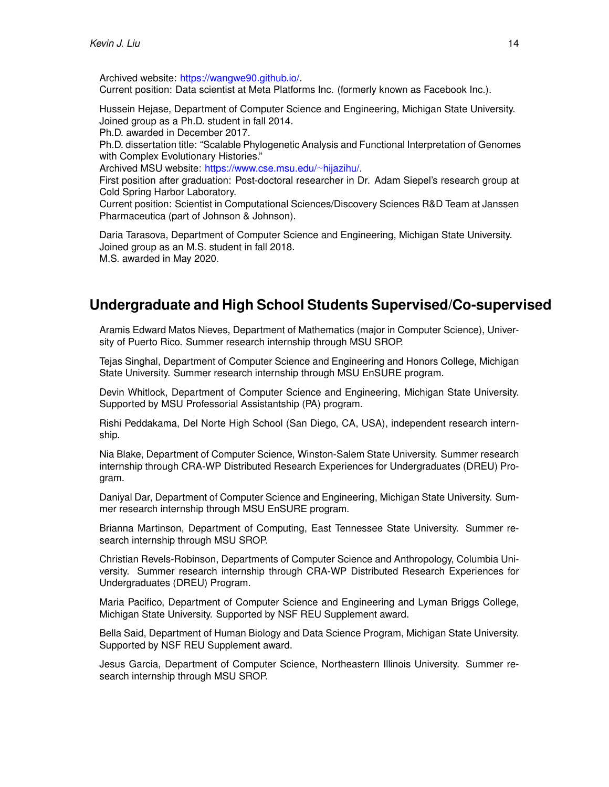Archived website: [https://wangwe90.github.io/.](https://wangwe90.github.io/) Current position: Data scientist at Meta Platforms Inc. (formerly known as Facebook Inc.).

Hussein Hejase, Department of Computer Science and Engineering, Michigan State University. Joined group as a Ph.D. student in fall 2014.

Ph.D. awarded in December 2017.

Ph.D. dissertation title: "Scalable Phylogenetic Analysis and Functional Interpretation of Genomes with Complex Evolutionary Histories."

Archived MSU website: [https://www.cse.msu.edu/](https://www.cse.msu.edu/~hijazihu/)∼hijazihu/.

First position after graduation: Post-doctoral researcher in Dr. Adam Siepel's research group at Cold Spring Harbor Laboratory.

Current position: Scientist in Computational Sciences/Discovery Sciences R&D Team at Janssen Pharmaceutica (part of Johnson & Johnson).

Daria Tarasova, Department of Computer Science and Engineering, Michigan State University. Joined group as an M.S. student in fall 2018. M.S. awarded in May 2020.

# **Undergraduate and High School Students Supervised/Co-supervised**

Aramis Edward Matos Nieves, Department of Mathematics (major in Computer Science), University of Puerto Rico. Summer research internship through MSU SROP.

Tejas Singhal, Department of Computer Science and Engineering and Honors College, Michigan State University. Summer research internship through MSU EnSURE program.

Devin Whitlock, Department of Computer Science and Engineering, Michigan State University. Supported by MSU Professorial Assistantship (PA) program.

Rishi Peddakama, Del Norte High School (San Diego, CA, USA), independent research internship.

Nia Blake, Department of Computer Science, Winston-Salem State University. Summer research internship through CRA-WP Distributed Research Experiences for Undergraduates (DREU) Program.

Daniyal Dar, Department of Computer Science and Engineering, Michigan State University. Summer research internship through MSU EnSURE program.

Brianna Martinson, Department of Computing, East Tennessee State University. Summer research internship through MSU SROP.

Christian Revels-Robinson, Departments of Computer Science and Anthropology, Columbia University. Summer research internship through CRA-WP Distributed Research Experiences for Undergraduates (DREU) Program.

Maria Pacifico, Department of Computer Science and Engineering and Lyman Briggs College, Michigan State University. Supported by NSF REU Supplement award.

Bella Said, Department of Human Biology and Data Science Program, Michigan State University. Supported by NSF REU Supplement award.

Jesus Garcia, Department of Computer Science, Northeastern Illinois University. Summer research internship through MSU SROP.